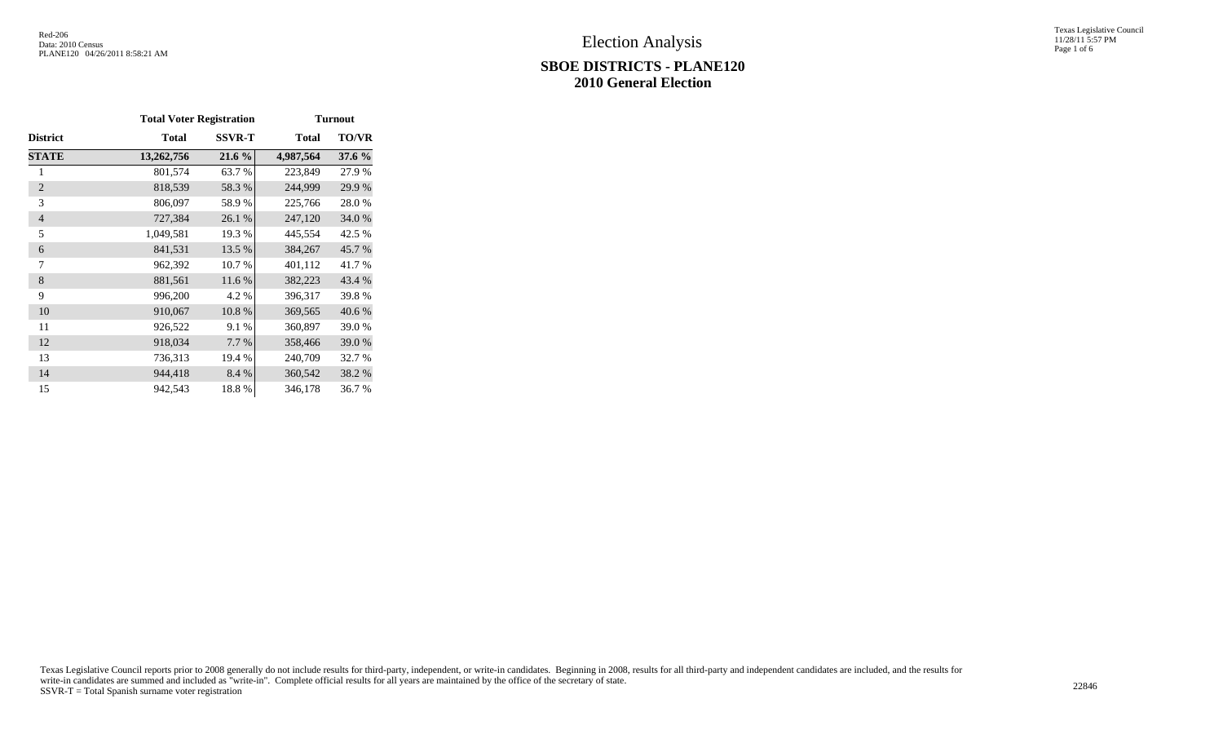#### **SBOE DISTRICTS - PLANE120 2010 General Election**

Texas Legislative Council 11/28/11 5:57 PM Page 1 of 6

|                 | <b>Total Voter Registration</b> |               | <b>Turnout</b> |              |  |  |  |  |
|-----------------|---------------------------------|---------------|----------------|--------------|--|--|--|--|
| <b>District</b> | <b>Total</b>                    | <b>SSVR-T</b> | <b>Total</b>   | <b>TO/VR</b> |  |  |  |  |
| <b>STATE</b>    | 13,262,756                      | 21.6 %        | 4,987,564      | 37.6 %       |  |  |  |  |
| 1               | 801,574                         | 63.7 %        | 223,849        | 27.9 %       |  |  |  |  |
| $\overline{2}$  | 818,539                         | 58.3%         | 244,999        | 29.9%        |  |  |  |  |
| 3               | 806,097                         | 58.9%         | 225,766        | 28.0%        |  |  |  |  |
| $\overline{4}$  | 727,384                         | 26.1 %        | 247,120        | 34.0 %       |  |  |  |  |
| 5               | 1,049,581                       | 19.3 %        | 445,554        | 42.5 %       |  |  |  |  |
| 6               | 841,531                         | 13.5 %        | 384,267        | 45.7%        |  |  |  |  |
| 7               | 962,392                         | 10.7%         | 401,112        | 41.7 %       |  |  |  |  |
| 8               | 881,561                         | 11.6 %        | 382,223        | 43.4 %       |  |  |  |  |
| 9               | 996,200                         | 4.2 %         | 396,317        | 39.8%        |  |  |  |  |
| 10              | 910,067                         | 10.8%         | 369,565        | 40.6 %       |  |  |  |  |
| 11              | 926,522                         | 9.1 %         | 360,897        | 39.0%        |  |  |  |  |
| 12              | 918,034                         | 7.7 %         | 358,466        | 39.0 %       |  |  |  |  |
| 13              | 736,313                         | 19.4 %        | 240,709        | 32.7 %       |  |  |  |  |
| 14              | 944,418                         | 8.4 %         | 360,542        | 38.2 %       |  |  |  |  |
| 15              | 942,543                         | 18.8%         | 346,178        | 36.7 %       |  |  |  |  |

Texas Legislative Council reports prior to 2008 generally do not include results for third-party, independent, or write-in candidates. Beginning in 2008, results for all third-party and independent candidates are included, write-in candidates are summed and included as "write-in". Complete official results for all years are maintained by the office of the secretary of state. 22846<br>SSVR-T = Total Spanish surname voter registration 22846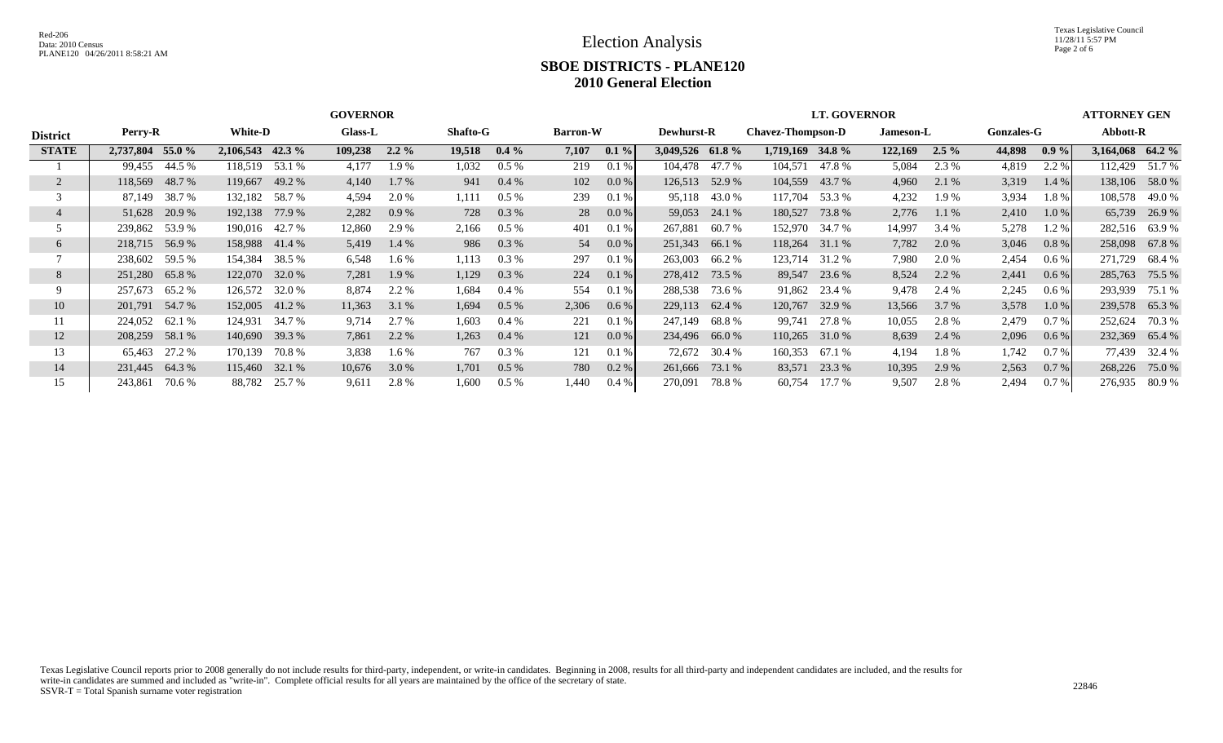Election Analysis

Texas Legislative Council 11/28/11 5:57 PM Page 2 of 6

# **SBOE DISTRICTS - PLANE120 2010 General Election**

|                 |                     |                    | <b>GOVERNOR</b>    |                   | <b>LT. GOVERNOR</b> | <b>ATTORNEY GEN</b>                           |                    |                   |                   |
|-----------------|---------------------|--------------------|--------------------|-------------------|---------------------|-----------------------------------------------|--------------------|-------------------|-------------------|
| <b>District</b> | Perry-R             | <b>White-D</b>     | <b>Glass-L</b>     | <b>Shafto-G</b>   | <b>Barron-W</b>     | <b>Chavez-Thompson-D</b><br><b>Dewhurst-R</b> | Jameson-L          | <b>Gonzales-G</b> | Abbott-R          |
| <b>STATE</b>    | 55.0 %<br>2,737,804 | $2,106,543$ 42.3 % | 109,238<br>$2.2\%$ | 19,518<br>$0.4\%$ | 7,107<br>$0.1\%$    | 3,049,526 61.8 %<br>1,719,169 34.8 %          | 122,169<br>$2.5\%$ | 44,898<br>$0.9\%$ | 3,164,068 64.2 %  |
|                 | 44.5 %<br>99,455    | 118,519 53.1 %     | 4,177<br>1.9 %     | 1,032<br>$0.5\%$  | 219<br>0.1%         | 104,478 47.7 %<br>104,571<br>47.8 %           | 5,084<br>2.3 %     | 2.2 %<br>4,819    | 51.7 %<br>112,429 |
| 2               | 48.7 %<br>118,569   | 119,667<br>49.2 %  | $1.7\%$<br>4,140   | $0.4\%$<br>941    | 0.0 %<br>102        | 126,513<br>104,559<br>43.7 %<br>52.9 %        | 4,960<br>2.1 %     | 3,319<br>1.4 %    | 138,106 58.0 %    |
|                 | 38.7 %<br>87,149    | 132,182 58.7 %     | 4,594<br>2.0 %     | $0.5\%$<br>1,111  | 239<br>0.1%         | 95,118<br>43.0 %<br>117,704<br>53.3 %         | 4,232<br>1.9 %     | 3,934<br>1.8%     | 108,578 49.0 %    |
|                 | 20.9 %<br>51,628    | 192,138 77.9 %     | 2,282<br>$0.9\%$   | $0.3\%$<br>728    | $0.0\%$<br>28       | 59,053<br>180,527<br>24.1 %<br>73.8 %         | 2,776<br>1.1%      | 2,410<br>$1.0\%$  | 65,739<br>26.9 %  |
|                 | 239,862 53.9 %      | 190,016 42.7 %     | 12,860<br>2.9 %    | $0.5\%$<br>2,166  | 401<br>0.1%         | 267,881<br>60.7 %<br>152,970<br>34.7 %        | 14,997<br>3.4 %    | 5,278<br>1.2%     | 282,516 63.9 %    |
| 6               | 218,715 56.9 %      | 158,988 41.4 %     | 5,419<br>1.4 %     | $0.3\%$<br>986    | 0.0 %<br>54         | 251,343<br>118,264 31.1 %<br>66.1 %           | 7,782<br>2.0 %     | 3,046<br>$0.8 \%$ | 258,098 67.8 %    |
|                 | 238,602 59.5 %      | 38.5 %<br>154,384  | 6,548<br>$1.6\%$   | 1,113<br>$0.3\%$  | 297<br>0.1%         | 263,003<br>66.2 %<br>123,714 31.2 %           | 7,980<br>2.0 %     | 2,454<br>$0.6\%$  | 271,729<br>68.4 % |
| 8               | 65.8%<br>251,280    | 122,070 32.0 %     | 7,281<br>1.9 %     | $0.3\%$<br>1,129  | 224<br>$0.1\%$      | 278,412<br>73.5 %<br>89,547 23.6 %            | 2.2 %<br>8,524     | 2,441<br>$0.6\%$  | 285,763<br>75.5 % |
|                 | 65.2 %<br>257,673   | 126,572 32.0 %     | 8,874<br>2.2 %     | 1,684<br>$0.4\%$  | 554<br>0.1%         | 288,538<br>73.6 %<br>91,862 23.4 %            | 9,478<br>2.4 %     | 2,245<br>0.6 %    | 293,939<br>75.1 % |
| 10              | 201,791 54.7 %      | 152,005 41.2 %     | 11,363<br>3.1 %    | $0.5\%$<br>1,694  | 2,306<br>0.6 %      | 229,113<br>62.4 %<br>120,767<br>32.9 %        | 3.7 %<br>13,566    | 3,578<br>$1.0\%$  | 239,578 65.3 %    |
| 11              | 224,052<br>62.1 %   | 124,931<br>34.7 %  | 2.7 %<br>9,714     | 1,603<br>$0.4\%$  | 221<br>0.1%         | 247,149<br>68.8 %<br>99,741<br>27.8 %         | 10,055<br>2.8%     | 2,479<br>$0.7\%$  | 252,624<br>70.3 % |
| 12              | 208,259<br>58.1 %   | 140,690 39.3 %     | 2.2 %<br>7,861     | 1,263<br>0.4%     | $0.0\%$<br>121      | 234,496 66.0 %<br>110,265<br>31.0 %           | 8,639<br>2.4 %     | 2,096<br>0.6 %    | 232,369 65.4 %    |
| 13              | 27.2 %<br>65,463    | 170,139<br>70.8 %  | 3,838<br>$1.6\%$   | 767<br>$0.3\%$    | 121<br>0.1%         | 72,672<br>30.4 %<br>160,353<br>67.1 %         | 4,194<br>1.8%      | 1,742<br>$0.7\%$  | 77.439<br>32.4 %  |
| 14              | 64.3%<br>231,445    | 115,460<br>32.1 %  | 10,676<br>3.0 %    | 1,701<br>$0.5\%$  | $0.2\%$<br>780      | 73.1 %<br>83,571<br>23.3 %<br>261,666         | 10,395<br>2.9 %    | 2,563<br>$0.7\%$  | 268,226<br>75.0 % |
| 15              | 70.6 %<br>243,861   | 88,782<br>25.7 %   | 2.8%<br>9,611      | 1,600<br>$0.5\%$  | 1,440<br>$0.4\%$    | 17.7 %<br>270,091<br>78.8 %<br>60,754         | 9,507<br>2.8%      | 2,494<br>$0.7\%$  | 276,935<br>80.9 % |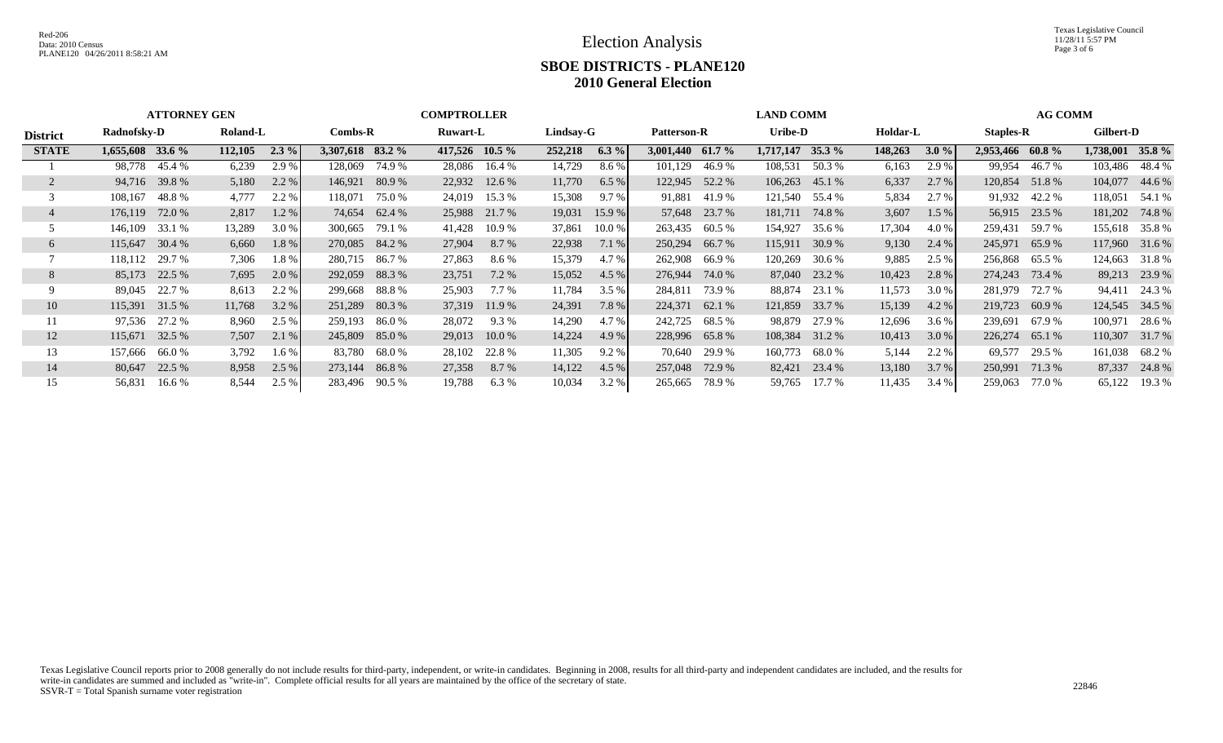Election Analysis

Texas Legislative Council 11/28/11 5:57 PM Page 3 of 6

### **SBOE DISTRICTS - PLANE120 2010 General Election**

|                 | <b>ATTORNEY GEN</b><br><b>COMPTROLLER</b> |        |          |          |                  | <b>LAND COMM</b> |          |                |           |          |           | <b>AG COMM</b>                            |                    |        |         |         |                  |                  |                  |                |
|-----------------|-------------------------------------------|--------|----------|----------|------------------|------------------|----------|----------------|-----------|----------|-----------|-------------------------------------------|--------------------|--------|---------|---------|------------------|------------------|------------------|----------------|
| <b>District</b> | Radnofsky-D                               |        | Roland-L |          | $Combs-R$        |                  | Ruwart-L |                | Lindsay-G |          |           | Uribe-D<br>Holdar-L<br><b>Patterson-R</b> |                    |        |         |         |                  | <b>Staples-R</b> |                  | Gilbert-D      |
| <b>STATE</b>    | $1,655,608$ 33.6 %                        |        | 112,105  | $2.3 \%$ | 3,307,618 83.2 % |                  |          | 417,526 10.5 % | 252,218   | $6.3\%$  | 3,001,440 | 61.7 $\%$                                 | $1,717,147$ 35.3 % |        | 148,263 | $3.0\%$ | 2,953,466 60.8 % |                  | 1,738,001 35.8 % |                |
|                 | 98.778                                    | 45.4 % | 6,239    | 2.9 %    | 128,069          | 74.9 %           | 28,086   | 16.4 %         | 14,729    | 8.6 %    | 101,129   | 46.9%                                     | 108,531            | 50.3 % | 6,163   | 2.9 %   | 99,954           | 46.7 %           | 103.486          | 48.4 %         |
|                 | 94,716                                    | 39.8%  | 5,180    | 2.2 %    | 146,921          | 80.9%            | 22,932   | 12.6 %         | 11,770    | 6.5%     | 122,945   | 52.2 %                                    | 106,263            | 45.1 % | 6,337   | 2.7 %   | 120,854          | 51.8%            | 104,077          | 44.6 %         |
|                 | 108,167                                   | 48.8%  | 4,777    | 2.2 %    | 118,071          | 75.0 %           | 24,019   | 15.3 %         | 15,308    | 9.7%     | 91,881    | 41.9 %                                    | 121,540            | 55.4 % | 5,834   | 2.7 %   |                  | 91,932 42.2 %    | 118,051          | 54.1 %         |
|                 | 176,119                                   | 72.0 % | 2,817    | 1.2%     | 74.654           | 62.4 %           | 25,988   | 21.7 %         | 19,031    | 15.9 %   | 57,648    | 23.7 %                                    | 181,711            | 74.8%  | 3,607   | 1.5%    |                  | 56,915 23.5 %    | 181,202          | 74.8%          |
|                 | 146,109                                   | 33.1 % | 13,289   | 3.0 %    | 300,665          | 79.1 %           | 41,428   | 10.9 %         | 37,861    | $10.0\%$ | 263,435   | 60.5 %                                    | 154,927            | 35.6 % | 17,304  | 4.0 %   | 259,431          | 59.7 %           | 155,618          | 35.8 %         |
| $\sigma$        | 115,647                                   | 30.4 % | 6,660    | 1.8 %    | 270,085          | 84.2 %           | 27,904   | 8.7 %          | 22,938    | 7.1%     | 250,294   | 66.7 %                                    | 115,911            | 30.9 % | 9,130   | 2.4%    | 245,971          | 65.9%            | 117,960          | 31.6 %         |
|                 | 118,112                                   | 29.7 % | 7,306    | 1.8%     | 280,715          | 86.7 %           | 27,863   | 8.6 %          | 15,379    | 4.7 %    | 262,908   | 66.9 %                                    | 120,269            | 30.6 % | 9,885   | 2.5 %   | 256,868          | 65.5 %           | 124,663          | 31.8%          |
| 8               | 85,173                                    | 22.5 % | 7,695    | 2.0 %    | 292,059          | 88.3%            | 23,751   | 7.2 %          | 15,052    | 4.5%     | 276,944   | 74.0 %                                    | 87,040             | 23.2 % | 10,423  | 2.8 %   | 274,243          | 73.4 %           | 89,213           | 23.9 %         |
|                 | 89,045                                    | 22.7 % | 8,613    | 2.2 %    | 299,668          | 88.8 %           | 25,903   | $7.7\%$        | 11,784    | 3.5%     | 284,811   | 73.9 %                                    | 88,874             | 23.1 % | 11,573  | 3.0 %   | 281,979          | 72.7 %           | 94,411           | 24.3 %         |
| 10              | 115,391 31.5 %                            |        | 11,768   | 3.2%     | 251,289          | 80.3 %           | 37,319   | 11.9 %         | 24,391    | 7.8 %    | 224,371   | 62.1 %                                    | 121,859            | 33.7 % | 15,139  | 4.2%    | 219,723          | 60.9%            |                  | 124,545 34.5 % |
|                 | 97,536                                    | 27.2 % | 8,960    | 2.5 %    | 259,193          | 86.0 %           | 28,072   | 9.3%           | 14,290    | 4.7 %    | 242,725   | 68.5 %                                    | 98,879             | 27.9 % | 12,696  | $3.6\%$ | 239,691          | 67.9 %           | 100,971          | 28.6 %         |
| 12              | 115,671                                   | 32.5 % | 7,507    | 2.1%     |                  | 245,809 85.0 %   | 29,013   | 10.0 %         | 14,224    | 4.9 %    | 228,996   | 65.8%                                     | 108,384            | 31.2 % | 10,413  | $3.0\%$ | 226,274 65.1 %   |                  | 110,307          | 31.7 %         |
| 13              | 157,666                                   | 66.0 % | 3,792    | 1.6 %    | 83,780           | 68.0 %           | 28,102   | 22.8 %         | 11,305    | 9.2%     | 70,640    | 29.9 %                                    | 160,773            | 68.0 % | 5,144   | 2.2 %   | 69,577           | 29.5 %           | 161,038          | 68.2 %         |
| 14              | 80,647                                    | 22.5 % | 8,958    | 2.5%     | 273,144          | 86.8 %           | 27,358   | 8.7 %          | 14,122    | 4.5%     | 257,048   | 72.9 %                                    | 82,421             | 23.4 % | 13,180  | 3.7%    | 250,991          | 71.3 %           | 87,337           | 24.8%          |
| 15              | 56,831                                    | 16.6 % | 8,544    | 2.5 %    | 283,496          | 90.5 %           | 19,788   | 6.3%           | 10,034    | 3.2 %    | 265,665   | 78.9%                                     | 59,765             | 17.7 % | 11,435  | 3.4 %   | 259,063          | 77.0 %           | 65,122           | 19.3 %         |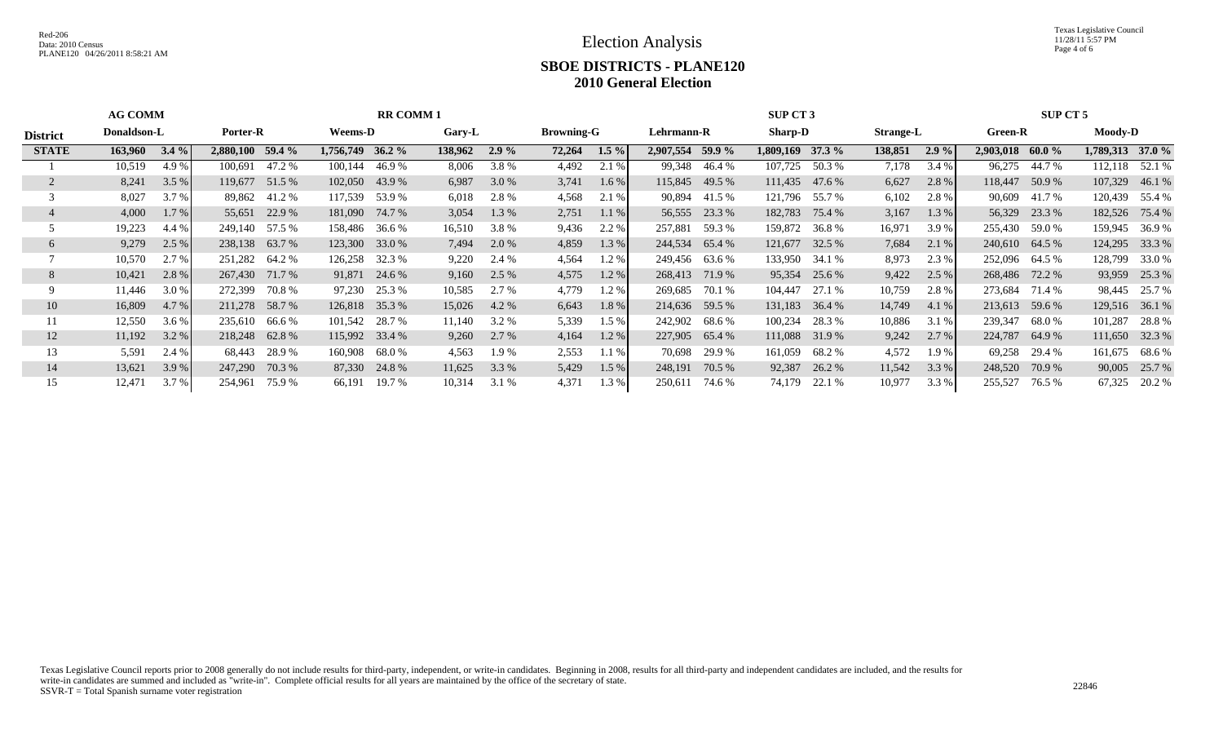Texas Legislative Council 11/28/11 5:57 PM Page 4 of 6

## **SBOE DISTRICTS - PLANE120 2010 General Election**

|                 | <b>AG COMM</b><br><b>RR COMM 1</b> |         |                  |          |                    |                | <b>SUP CT 3</b> |               |        |                   |                  |            | SUP CT 5           |                |         |                  |                  |                |                  |                |
|-----------------|------------------------------------|---------|------------------|----------|--------------------|----------------|-----------------|---------------|--------|-------------------|------------------|------------|--------------------|----------------|---------|------------------|------------------|----------------|------------------|----------------|
| <b>District</b> | Donaldson-L                        |         |                  | Porter-R |                    | <b>Weems-D</b> |                 | <b>Gary-L</b> |        | <b>Browning-G</b> |                  | Lehrmann-R |                    | <b>Sharp-D</b> |         | <b>Strange-L</b> |                  | <b>Green-R</b> |                  | <b>Moody-D</b> |
| <b>STATE</b>    | 163,960                            | $3.4\%$ | 2,880,100 59.4 % |          | $1,756,749$ 36.2 % |                | 138,962         | $2.9\%$       | 72,264 | $1.5\%$           | 2,907,554 59.9 % |            | $1,809,169$ 37.3 % |                | 138,851 | 2.9%             | 2,903,018 60.0 % |                | 1,789,313 37.0 % |                |
|                 | 10,519                             | 4.9 %   | 100,691          | 47.2 %   | 100,144            | 46.9 %         | 8,006           | 3.8%          | 4,492  | 2.1 %             | 99,348           | 46.4 %     | 107,725            | 50.3 %         | 7,178   | 3.4 %            | 96,275           | 44.7 %         | 112,118 52.1 %   |                |
| $\overline{2}$  | 8,241                              | 3.5%    | 119,677          | 51.5 %   | 102,050            | 43.9%          | 6,987           | 3.0 %         | 3,741  | $1.6\%$           | 115,845          | 49.5 %     | 111,435 47.6 %     |                | 6,627   | 2.8%             | 118,447          | 50.9%          | 107,329          | 46.1%          |
|                 | 8,027                              | 3.7 %   | 89,862           | 41.2 %   | 117,539            | 53.9 %         | 6,018           | 2.8%          | 4,568  | 2.1 %             | 90,894           | 41.5 %     |                    | 121,796 55.7 % | 6,102   | 2.8 %            |                  | 90,609 41.7 %  | 120,439          | 55.4 %         |
|                 | 4,000                              | 1.7 %   | 55,651           | 22.9 %   | 181,090            | 74.7 %         | 3,054           | 1.3 %         | 2,751  | 1.1%              | 56,555           | 23.3 %     | 182,783            | 75.4 %         | 3,167   | 1.3%             | 56,329           | 23.3 %         | 182,526          | 75.4 %         |
|                 | 19,223                             | 4.4 %   | 249,140 57.5 %   |          | 158,486            | 36.6 %         | 16,510          | 3.8%          | 9,436  | 2.2 %             | 257,881          | 59.3 %     | 159,872            | 36.8 %         | 16,971  | 3.9%             | 255,430 59.0 %   |                | 159,945          | 36.9 %         |
| 6               | 9,279                              | 2.5 %   | 238,138 63.7 %   |          | 123,300            | 33.0 %         | 7,494           | 2.0 %         | 4,859  | 1.3 %             | 244,534          | 65.4 %     | 121,677            | 32.5 %         | 7,684   | 2.1%             | 240,610 64.5 %   |                | 124,295          | 33.3 %         |
|                 | 10,570                             | 2.7 %   | 251,282          | 64.2 %   | 126,258            | 32.3 %         | 9,220           | 2.4 %         | 4,564  | 1.2%              | 249,456          | 63.6 %     | 133,950            | 34.1 %         | 8,973   | 2.3 %            | 252,096 64.5 %   |                | 128,799          | 33.0 %         |
| 8               | 10,421                             | 2.8 %   | 267,430          | 71.7 %   | 91,871             | 24.6 %         | 9,160           | 2.5 %         | 4,575  | 1.2%              | 268,413          | 71.9 %     | 95,354             | 25.6 %         | 9,422   | 2.5 %            | 268,486 72.2 %   |                | 93,959           | 25.3 %         |
|                 | 11,446                             | 3.0%    | 272,399          | 70.8%    | 97,230             | 25.3 %         | 10,585          | 2.7 %         | 4,779  | 1.2%              | 269,685          | 70.1 %     | 104,447            | 27.1 %         | 10,759  | 2.8 %            | 273,684          | 71.4 %         | 98,445           | 25.7 %         |
| 10              | 16,809                             | 4.7 %   | 211,278 58.7 %   |          |                    | 126,818 35.3 % | 15,026          | 4.2 %         | 6,643  | 1.8%              | 214,636          | 59.5 %     | 131,183            | 36.4 %         | 14,749  | 4.1%             | 213,613          | 59.6 %         | 129,516 36.1 %   |                |
| 11              | 12,550                             | 3.6 %   | 235,610          | 66.6 %   | 101,542            | 28.7 %         | 11,140          | 3.2 %         | 5,339  | 1.5 %             | 242,902          | 68.6 %     | 100,234            | 28.3 %         | 10,886  | 3.1%             | 239,347          | 68.0 %         | 101,287          | 28.8 %         |
| 12              | 11,192                             | 3.2 %   | 218,248 62.8 %   |          |                    | 115,992 33.4 % | 9,260           | 2.7 %         | 4,164  | 1.2%              | 227,905          | 65.4 %     |                    | 111,088 31.9 % | 9,242   | 2.7%             | 224,787          | 64.9 %         | 111,650 32.3 %   |                |
| 13              | 5,591                              | 2.4 %   | 68,443           | 28.9%    | 160,908            | 68.0 %         | 4,563           | 1.9 %         | 2,553  | 1.1 %             | 70,698           | 29.9 %     | 161,059            | 68.2 %         | 4,572   | 1.9%             | 69,258           | 29.4 %         | 161,675          | 68.6 %         |
| 14              | 13,621                             | 3.9 %   | 247,290          | 70.3 %   |                    | 87,330 24.8 %  | 11,625          | 3.3 %         | 5,429  | 1.5 %             | 248,191          | 70.5 %     | 92,387             | 26.2 %         | 11,542  | 3.3 %            | 248,520          | 70.9 %         | 90,005           | 25.7 %         |
| 15              | 12,471                             | 3.7 %   | 254,961          | 75.9 %   | 66,191             | 19.7 %         | 10,314          | 3.1 %         | 4,371  | 1.3%              | 250,611          | 74.6 %     | 74,179             | 22.1 %         | 10,977  | 3.3 %            | 255,527          | 76.5 %         | 67,325           | 20.2 %         |

Texas Legislative Council reports prior to 2008 generally do not include results for third-party, independent, or write-in candidates. Beginning in 2008, results for all third-party and independent candidates are included, write-in candidates are summed and included as "write-in". Complete official results for all years are maintained by the office of the secretary of state. 22846<br>SSVR-T = Total Spanish surname voter registration 22846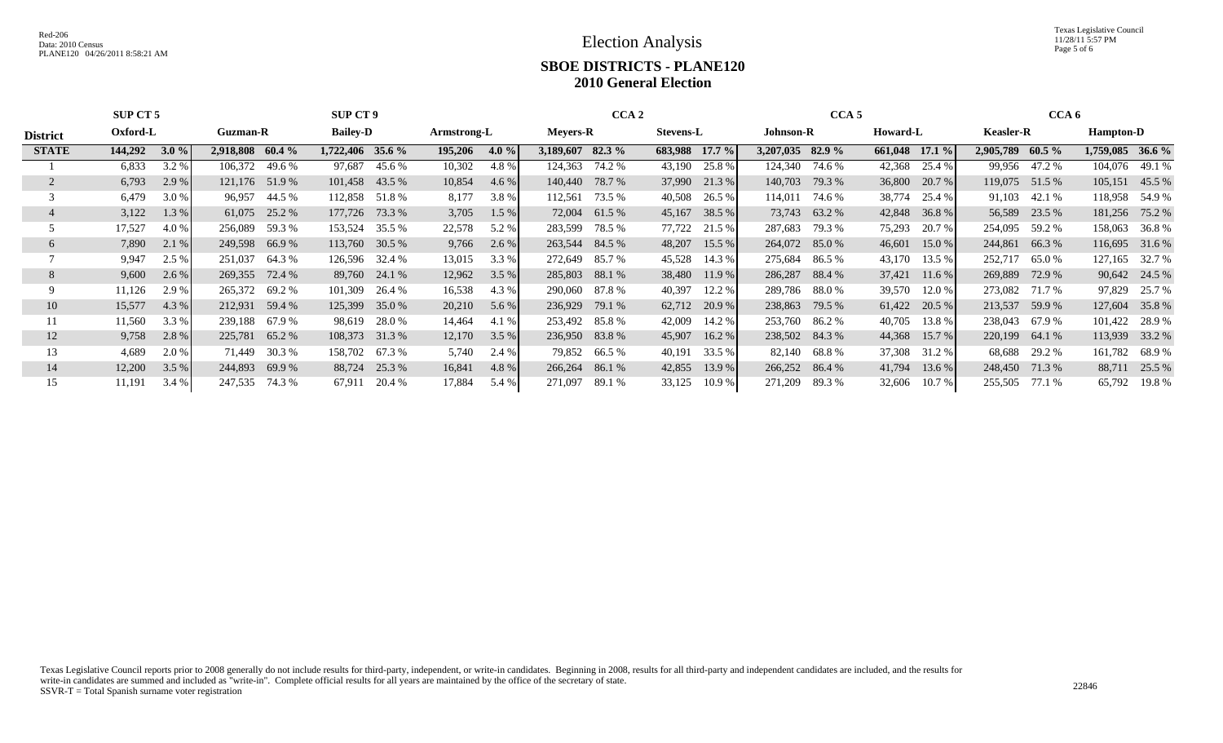Texas Legislative Council 11/28/11 5:57 PM Page 5 of 6

## **SBOE DISTRICTS - PLANE120 2010 General Election**

|                 | SUP CT 5                    |         | <b>SUP CT 9</b>  |                 |                    |             |                 |         |                  | CCA <sub>2</sub> | CCA <sub>5</sub> |           |                  |                | CCA 6                       |                  |           |                  |                  |               |
|-----------------|-----------------------------|---------|------------------|-----------------|--------------------|-------------|-----------------|---------|------------------|------------------|------------------|-----------|------------------|----------------|-----------------------------|------------------|-----------|------------------|------------------|---------------|
| <b>District</b> | Oxford-L<br><b>Guzman-R</b> |         |                  | <b>Bailey-D</b> |                    | Armstrong-L | <b>Meyers-R</b> |         |                  | <b>Stevens-L</b> |                  | Johnson-R |                  | Howard-L       |                             | <b>Keasler-R</b> |           | <b>Hampton-D</b> |                  |               |
| <b>STATE</b>    | 144,292                     | 3.0%    | 2,918,808 60.4 % |                 | $1,722,406$ 35.6 % |             | 195,206         | 4.0 $%$ | 3,189,607 82.3 % |                  | 683,988 17.7 %   |           | 3,207,035 82.9 % |                | $\overline{661,048}$ 17.1 % |                  | 2,905,789 | $60.5\%$         | 1,759,085 36.6 % |               |
|                 | 6,833                       | 3.2 %   | 106,372          | 49.6 %          | 97,687             | 45.6 %      | 10,302          | 4.8%    | 124,363          | 74.2 %           | 43,190           | 25.8 %    |                  | 124,340 74.6 % | 42,368                      | 25.4 %           |           | 99,956 47.2 %    | 104,076          | 49.1 %        |
|                 | 6,793                       | 2.9%    | 121,176 51.9 %   |                 | 101,458            | 43.5 %      | 10,854          | 4.6 %   | 140,440          | 78.7 %           | 37,990           | 21.3 %    | 140,703          | 79.3 %         | 36,800                      | 20.7%            | 119,075   | 51.5 %           | 105,151          | 45.5 %        |
|                 | 6,479                       | 3.0 %   | 96,957           | 44.5 %          | 112,858            | 51.8 %      | 8,177           | 3.8%    | 112,561          | 73.5 %           | 40,508           | 26.5 %    | 114,011          | 74.6 %         | 38,774                      | 25.4 %           | 91,103    | 42.1 %           | 118,958          | 54.9 %        |
|                 | 3,122                       | 1.3%    | 61,075           | 25.2 %          | 177,726            | 73.3 %      | 3,705           | 1.5%    | 72,004           | 61.5 %           | 45,167           | 38.5 %    | 73,743           | 63.2 %         | 42,848                      | 36.8%            | 56,589    | 23.5 %           | 181,256          | 75.2 %        |
|                 | 17,527                      | 4.0 %   | 256,089          | 59.3 %          | 153,524            | 35.5 %      | 22,578          | 5.2 %   | 283,599          | 78.5 %           | 77,722           | 21.5 %    | 287,683          | 79.3 %         | 75,293                      | 20.7 %           | 254,095   | 59.2 %           | 158,063          | 36.8 %        |
| 6               | 7,890                       | 2.1%    | 249,598          | 66.9%           | 113,760            | 30.5 %      | 9,766           | 2.6 %   | 263,544          | 84.5 %           | 48,207           | 15.5%     | 264,072          | 85.0%          | 46,601                      | 15.0 %           | 244,861   | 66.3%            | 116,695          | 31.6 %        |
|                 | 9,947                       | 2.5 %   | 251,037          | 64.3 %          | 126,596            | 32.4 %      | 13,015          | 3.3 %   | 272,649          | 85.7 %           | 45,528           | 14.3 %    | 275,684          | 86.5 %         | 43,170                      | 13.5 %           | 252,717   | 65.0 %           | 127,165          | 32.7 %        |
| 8               | 9,600                       | $2.6\%$ | 269,355          | 72.4 %          | 89,760             | 24.1 %      | 12,962          | 3.5 %   | 285,803          | 88.1 %           | 38,480           | 11.9%     | 286,287          | 88.4 %         | 37,421                      | 11.6%            | 269,889   | 72.9 %           |                  | 90,642 24.5 % |
| 9               | 11,126                      | 2.9 %   | 265,372          | 69.2 %          | 101,309            | 26.4 %      | 16,538          | 4.3 %   | 290,060          | 87.8 %           | 40,397           | 12.2 %    | 289,786          | 88.0 %         | 39,570                      | 12.0%            | 273,082   | 71.7 %           | 97,829           | 25.7 %        |
| 10              | 15,577                      | 4.3 %   | 212,931          | 59.4 %          | 125,399            | 35.0 %      | 20,210          | 5.6 %   | 236,929          | 79.1 %           | 62,712           | 20.9 %    | 238,863          | 79.5 %         | 61,422                      | 20.5 %           | 213,537   | 59.9 %           | 127,604          | 35.8%         |
|                 | 11,560                      | 3.3 %   | 239,188          | 67.9 %          | 98,619             | 28.0 %      | 14,464          | 4.1 %   | 253,492          | 85.8 %           | 42,009           | 14.2 %    | 253,760          | 86.2 %         | 40,705                      | 13.8 %           | 238,043   | 67.9 %           | 101,422          | 28.9 %        |
| 12              | 9,758                       | 2.8 %   | 225,781          | 65.2 %          | 108,373            | 31.3 %      | 12,170          | 3.5%    | 236,950          | 83.8%            | 45,907           | 16.2 %    |                  | 238,502 84.3 % | 44,368                      | $15.7\%$         | 220,199   | 64.1 %           | 113,939          | 33.2 %        |
| 13              | 4,689                       | 2.0 %   | 71,449           | 30.3 %          | 158,702            | 67.3 %      | 5,740           | 2.4 %   | 79,852           | 66.5 %           | 40,191           | 33.5 %    | 82,140           | 68.8 %         | 37,308                      | 31.2 %           | 68,688    | 29.2 %           | 161,782          | 68.9 %        |
| 14              | 12,200                      | 3.5%    | 244,893          | 69.9%           | 88,724             | 25.3 %      | 16,841          | 4.8 %   | 266,264          | 86.1%            | 42,855           | 13.9 %    | 266,252          | 86.4 %         | 41,794                      | $13.6\%$         | 248,450   | 71.3 %           | 88,711           | 25.5 %        |
| 15              | 11,191                      | 3.4 %   | 247,535          | 74.3 %          | 67,911             | 20.4 %      | 17,884          | 5.4 %   | 271,097          | 89.1 %           | 33,125           | 10.9%     | 271,209          | 89.3 %         | 32,606                      | 10.7%            | 255,505   | 77.1 %           |                  | 65,792 19.8 % |